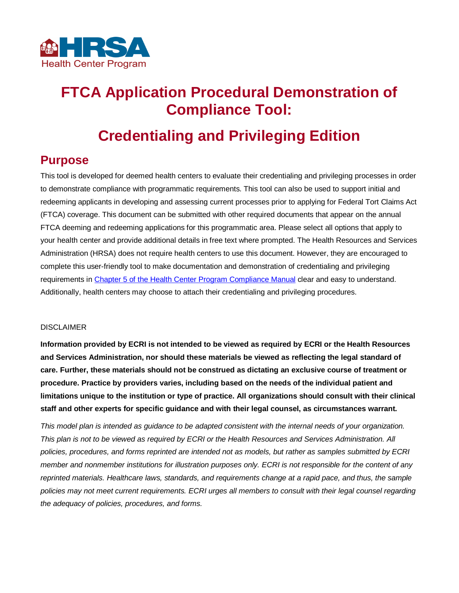

# **FTCA Application Procedural Demonstration of Compliance Tool:**

# **Credentialing and Privileging Edition**

## **Purpose**

This tool is developed for deemed health centers to evaluate their credentialing and privileging processes in order to demonstrate compliance with programmatic requirements. This tool can also be used to support initial and redeeming applicants in developing and assessing current processes prior to applying for Federal Tort Claims Act (FTCA) coverage. This document can be submitted with other required documents that appear on the annual FTCA deeming and redeeming applications for this programmatic area. Please select all options that apply to your health center and provide additional details in free text where prompted. The Health Resources and Services Administration (HRSA) does not require health centers to use this document. However, they are encouraged to complete this user-friendly tool to make documentation and demonstration of credentialing and privileging requirements i[n Chapter 5 of the Health Center Program Compliance Manual](https://bphc.hrsa.gov/programrequirements/compliancemanual/chapter-5.html#titletop) clear and easy to understand. Additionally, health centers may choose to attach their credentialing and privileging procedures.

#### DISCLAIMER

**Information provided by ECRI is not intended to be viewed as required by ECRI or the Health Resources and Services Administration, nor should these materials be viewed as reflecting the legal standard of care. Further, these materials should not be construed as dictating an exclusive course of treatment or procedure. Practice by providers varies, including based on the needs of the individual patient and limitations unique to the institution or type of practice. All organizations should consult with their clinical staff and other experts for specific guidance and with their legal counsel, as circumstances warrant.**

*This model plan is intended as guidance to be adapted consistent with the internal needs of your organization. This plan is not to be viewed as required by ECRI or the Health Resources and Services Administration. All policies, procedures, and forms reprinted are intended not as models, but rather as samples submitted by ECRI member and nonmember institutions for illustration purposes only. ECRI is not responsible for the content of any reprinted materials. Healthcare laws, standards, and requirements change at a rapid pace, and thus, the sample policies may not meet current requirements. ECRI urges all members to consult with their legal counsel regarding the adequacy of policies, procedures, and forms.*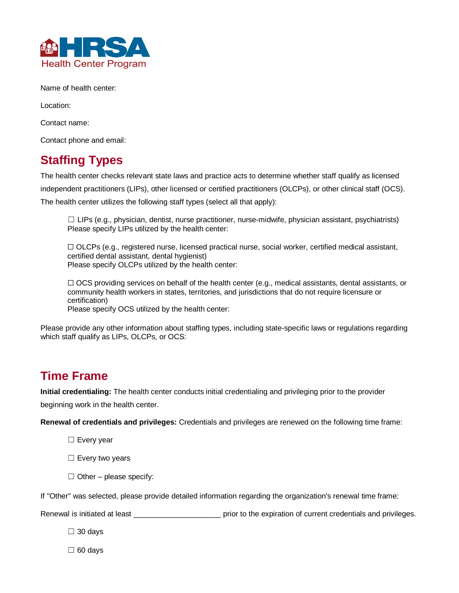

Name of health center:

Location:

Contact name:

Contact phone and email:

## **Staffing Types**

The health center checks relevant state laws and practice acts to determine whether staff qualify as licensed independent practitioners (LIPs), other licensed or certified practitioners (OLCPs), or other clinical staff (OCS). The health center utilizes the following staff types (select all that apply):

 $\Box$  LIPs (e.g., physician, dentist, nurse practitioner, nurse-midwife, physician assistant, psychiatrists) Please specify LIPs utilized by the health center:

☐ OLCPs (e.g., registered nurse, licensed practical nurse, social worker, certified medical assistant, certified dental assistant, dental hygienist) Please specify OLCPs utilized by the health center:

 $\Box$  OCS providing services on behalf of the health center (e.g., medical assistants, dental assistants, or community health workers in states, territories, and jurisdictions that do not require licensure or certification) Please specify OCS utilized by the health center:

Please provide any other information about staffing types, including state-specific laws or regulations regarding which staff qualify as LIPs, OLCPs, or OCS:

## **Time Frame**

**Initial credentialing:** The health center conducts initial credentialing and privileging prior to the provider beginning work in the health center.

**Renewal of credentials and privileges:** Credentials and privileges are renewed on the following time frame:

☐ Every year

□ Every two years

 $\Box$  Other – please specify:

If "Other" was selected, please provide detailed information regarding the organization's renewal time frame:

Renewal is initiated at least **with the expiration** of current credentials and privileges.

☐ 30 days

☐ 60 days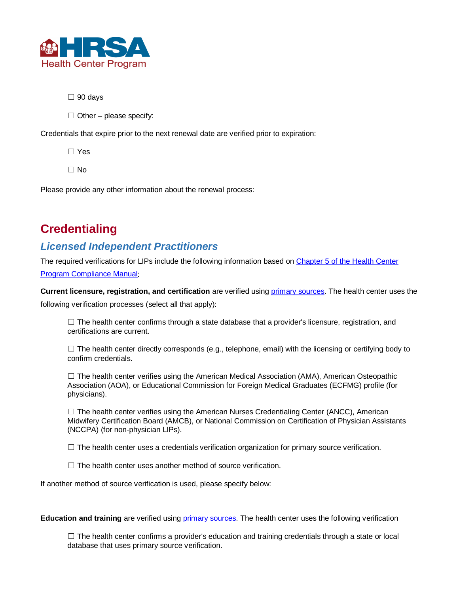

☐ 90 days

 $\Box$  Other – please specify:

Credentials that expire prior to the next renewal date are verified prior to expiration:

☐ Yes

☐ No

Please provide any other information about the renewal process:

## **Credentialing**

### *Licensed Independent Practitioners*

The required verifications for LIPs include the following information based on [Chapter 5 of the Health Center](https://bphc.hrsa.gov/programrequirements/compliancemanual/chapter-5.html#titletop)  [Program Compliance Manual:](https://bphc.hrsa.gov/programrequirements/compliancemanual/chapter-5.html#titletop)

**Current licensure, registration, and certification** are verified using [primary sources.](https://bphc.hrsa.gov/programrequirements/compliancemanual/glossary.html#primary-source-verification) The health center uses the following verification processes (select all that apply):

 $\Box$  The health center confirms through a state database that a provider's licensure, registration, and certifications are current.

 $\Box$  The health center directly corresponds (e.g., telephone, email) with the licensing or certifying body to confirm credentials.

 $\Box$  The health center verifies using the American Medical Association (AMA), American Osteopathic Association (AOA), or Educational Commission for Foreign Medical Graduates (ECFMG) profile (for physicians).

□ The health center verifies using the American Nurses Credentialing Center (ANCC), American Midwifery Certification Board (AMCB), or National Commission on Certification of Physician Assistants (NCCPA) (for non-physician LIPs).

□ The health center uses a credentials verification organization for primary source verification.

□ The health center uses another method of source verification.

If another method of source verification is used, please specify below:

**Education and training** are verified using *primary sources*. The health center uses the following verification

 $\Box$  The health center confirms a provider's education and training credentials through a state or local database that uses primary source verification.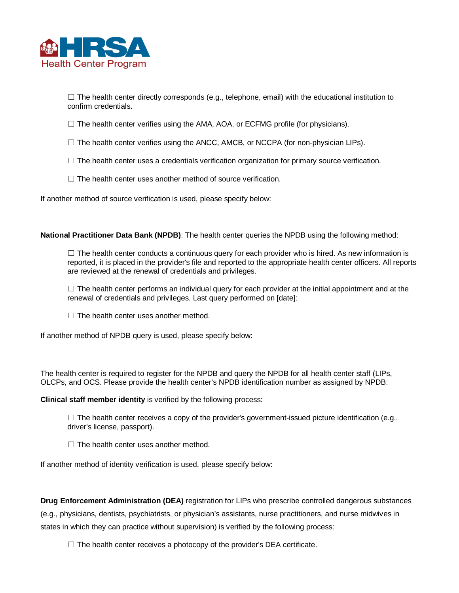

 $\Box$  The health center directly corresponds (e.g., telephone, email) with the educational institution to confirm credentials.

□ The health center verifies using the AMA, AOA, or ECFMG profile (for physicians).

- □ The health center verifies using the ANCC, AMCB, or NCCPA (for non-physician LIPs).
- □ The health center uses a credentials verification organization for primary source verification.
- □ The health center uses another method of source verification.

If another method of source verification is used, please specify below:

**National Practitioner Data Bank (NPDB)**: The health center queries the NPDB using the following method:

 $\Box$  The health center conducts a continuous query for each provider who is hired. As new information is reported, it is placed in the provider's file and reported to the appropriate health center officers. All reports are reviewed at the renewal of credentials and privileges.

 $\Box$  The health center performs an individual query for each provider at the initial appointment and at the renewal of credentials and privileges. Last query performed on [date]:

 $\Box$  The health center uses another method.

If another method of NPDB query is used, please specify below:

The health center is required to register for the NPDB and query the NPDB for all health center staff (LIPs, OLCPs, and OCS. Please provide the health center's NPDB identification number as assigned by NPDB:

**Clinical staff member identity** is verified by the following process:

 $\Box$  The health center receives a copy of the provider's government-issued picture identification (e.g., driver's license, passport).

 $\Box$  The health center uses another method.

If another method of identity verification is used, please specify below:

**Drug Enforcement Administration (DEA)** registration for LIPs who prescribe controlled dangerous substances

(e.g., physicians, dentists, psychiatrists, or physician's assistants, nurse practitioners, and nurse midwives in states in which they can practice without supervision) is verified by the following process:

 $\Box$  The health center receives a photocopy of the provider's DEA certificate.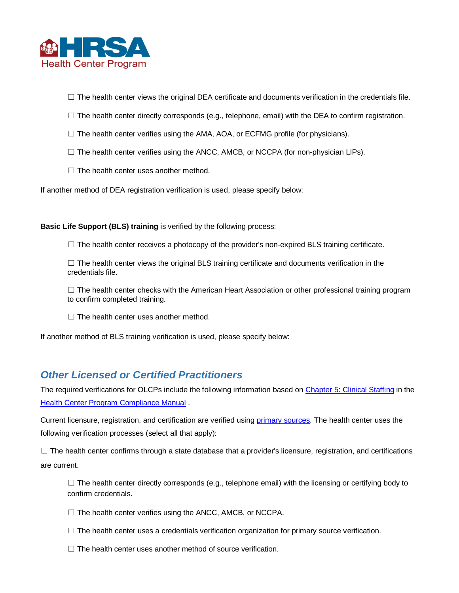

□ The health center views the original DEA certificate and documents verification in the credentials file.

- □ The health center directly corresponds (e.g., telephone, email) with the DEA to confirm registration.
- □ The health center verifies using the AMA, AOA, or ECFMG profile (for physicians).
- □ The health center verifies using the ANCC, AMCB, or NCCPA (for non-physician LIPs).
- □ The health center uses another method.

If another method of DEA registration verification is used, please specify below:

**Basic Life Support (BLS) training** is verified by the following process:

□ The health center receives a photocopy of the provider's non-expired BLS training certificate.

□ The health center views the original BLS training certificate and documents verification in the credentials file.

 $\Box$  The health center checks with the American Heart Association or other professional training program to confirm completed training.

 $\Box$  The health center uses another method.

If another method of BLS training verification is used, please specify below:

### *Other Licensed or Certified Practitioners*

The required verifications for OLCPs include the following information based on [Chapter 5: Clinical Staffing](https://bphc.hrsa.gov/programrequirements/compliancemanual/chapter-5.html#titletop) in the [Health Center Program Compliance Manual](https://bphc.hrsa.gov/programrequirements/compliancemanual/introduction.html) .

Current licensure, registration, and certification are verified using [primary sources.](https://bphc.hrsa.gov/programrequirements/compliancemanual/glossary.html#primary-source-verification) The health center uses the following verification processes (select all that apply):

 $\Box$  The health center confirms through a state database that a provider's licensure, registration, and certifications are current.

 $\Box$  The health center directly corresponds (e.g., telephone email) with the licensing or certifying body to confirm credentials.

☐ The health center verifies using the ANCC, AMCB, or NCCPA.

- □ The health center uses a credentials verification organization for primary source verification.
- $\Box$  The health center uses another method of source verification.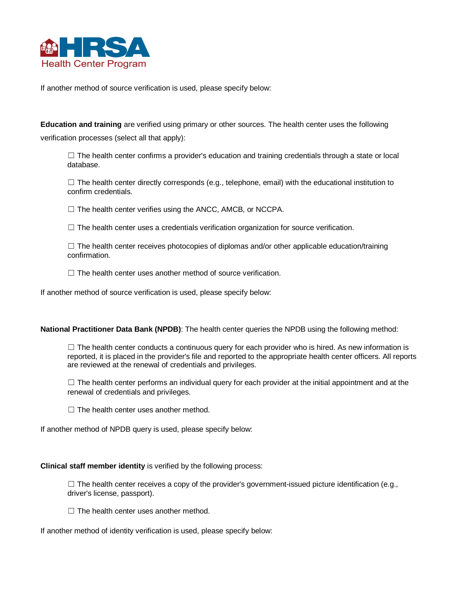

If another method of source verification is used, please specify below:

**Education and training** are verified using primary or other sources. The health center uses the following verification processes (select all that apply):

 $\Box$  The health center confirms a provider's education and training credentials through a state or local database.

 $\Box$  The health center directly corresponds (e.g., telephone, email) with the educational institution to confirm credentials.

☐ The health center verifies using the ANCC, AMCB, or NCCPA.

□ The health center uses a credentials verification organization for source verification.

□ The health center receives photocopies of diplomas and/or other applicable education/training confirmation.

 $\Box$  The health center uses another method of source verification.

If another method of source verification is used, please specify below:

#### **National Practitioner Data Bank (NPDB)**: The health center queries the NPDB using the following method:

 $\Box$  The health center conducts a continuous query for each provider who is hired. As new information is reported, it is placed in the provider's file and reported to the appropriate health center officers. All reports are reviewed at the renewal of credentials and privileges.

 $\Box$  The health center performs an individual query for each provider at the initial appointment and at the renewal of credentials and privileges.

 $\Box$  The health center uses another method.

If another method of NPDB query is used, please specify below:

#### **Clinical staff member identity** is verified by the following process:

☐ The health center receives a copy of the provider's government-issued picture identification (e.g., driver's license, passport).

 $\Box$  The health center uses another method.

If another method of identity verification is used, please specify below: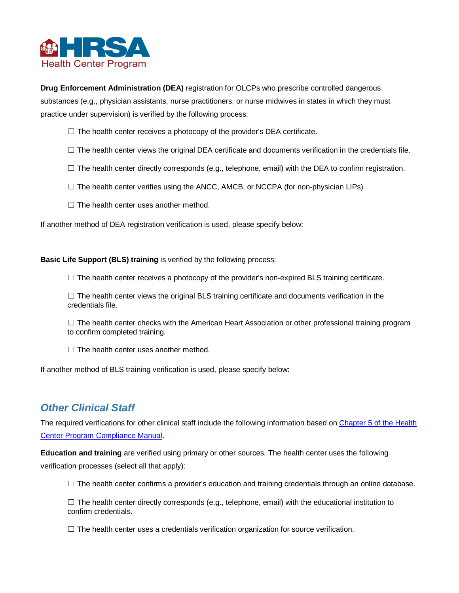

**Drug Enforcement Administration (DEA)** registration for OLCPs who prescribe controlled dangerous substances (e.g., physician assistants, nurse practitioners, or nurse midwives in states in which they must practice under supervision) is verified by the following process:

- □ The health center receives a photocopy of the provider's DEA certificate.
- □ The health center views the original DEA certificate and documents verification in the credentials file.
- ☐ The health center directly corresponds (e.g., telephone, email) with the DEA to confirm registration.
- □ The health center verifies using the ANCC, AMCB, or NCCPA (for non-physician LIPs).
- □ The health center uses another method.

If another method of DEA registration verification is used, please specify below:

**Basic Life Support (BLS) training** is verified by the following process:

□ The health center receives a photocopy of the provider's non-expired BLS training certificate.

□ The health center views the original BLS training certificate and documents verification in the credentials file.

 $\Box$  The health center checks with the American Heart Association or other professional training program to confirm completed training.

 $\Box$  The health center uses another method.

If another method of BLS training verification is used, please specify below:

### *Other Clinical Staff*

The required verifications for other clinical staff include the following information based on [Chapter 5 of the Health](https://bphc.hrsa.gov/programrequirements/compliancemanual/chapter-5.html#titletop)  [Center Program Compliance Manual.](https://bphc.hrsa.gov/programrequirements/compliancemanual/chapter-5.html#titletop)

**Education and training** are verified using primary or other sources. The health center uses the following verification processes (select all that apply):

 $\Box$  The health center confirms a provider's education and training credentials through an online database.

 $\Box$  The health center directly corresponds (e.g., telephone, email) with the educational institution to confirm credentials.

 $\Box$  The health center uses a credentials verification organization for source verification.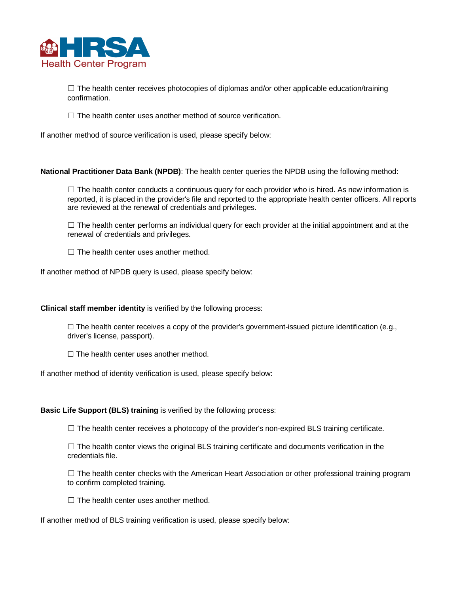

 $\Box$  The health center receives photocopies of diplomas and/or other applicable education/training confirmation.

 $\Box$  The health center uses another method of source verification.

If another method of source verification is used, please specify below:

**National Practitioner Data Bank (NPDB)**: The health center queries the NPDB using the following method:

 $\Box$  The health center conducts a continuous query for each provider who is hired. As new information is reported, it is placed in the provider's file and reported to the appropriate health center officers. All reports are reviewed at the renewal of credentials and privileges.

 $\Box$  The health center performs an individual query for each provider at the initial appointment and at the renewal of credentials and privileges.

 $\Box$  The health center uses another method.

If another method of NPDB query is used, please specify below:

**Clinical staff member identity** is verified by the following process:

 $\Box$  The health center receives a copy of the provider's government-issued picture identification (e.g., driver's license, passport).

 $\Box$  The health center uses another method.

If another method of identity verification is used, please specify below:

**Basic Life Support (BLS) training** is verified by the following process:

□ The health center receives a photocopy of the provider's non-expired BLS training certificate.

□ The health center views the original BLS training certificate and documents verification in the credentials file.

□ The health center checks with the American Heart Association or other professional training program to confirm completed training.

 $\Box$  The health center uses another method.

If another method of BLS training verification is used, please specify below: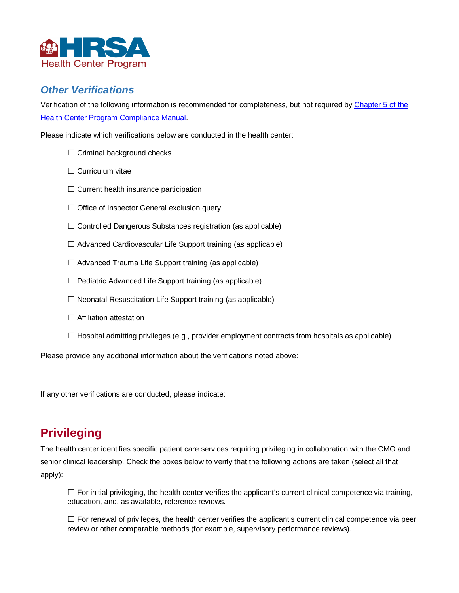

### *Other Verifications*

Verification of the following information is recommended for completeness, but not required b[y Chapter 5 of the](https://bphc.hrsa.gov/programrequirements/compliancemanual/chapter-5.html#titletop)  [Health Center Program Compliance Manual.](https://bphc.hrsa.gov/programrequirements/compliancemanual/chapter-5.html#titletop)

Please indicate which verifications below are conducted in the health center:

- □ Criminal background checks
- □ Curriculum vitae
- □ Current health insurance participation
- □ Office of Inspector General exclusion query
- ☐ Controlled Dangerous Substances registration (as applicable)
- □ Advanced Cardiovascular Life Support training (as applicable)
- ☐ Advanced Trauma Life Support training (as applicable)
- □ Pediatric Advanced Life Support training (as applicable)
- ☐ Neonatal Resuscitation Life Support training (as applicable)
- □ Affiliation attestation
- □ Hospital admitting privileges (e.g., provider employment contracts from hospitals as applicable)

Please provide any additional information about the verifications noted above:

If any other verifications are conducted, please indicate:

## **Privileging**

The health center identifies specific patient care services requiring privileging in collaboration with the CMO and senior clinical leadership. Check the boxes below to verify that the following actions are taken (select all that apply):

 $\Box$  For initial privileging, the health center verifies the applicant's current clinical competence via training, education, and, as available, reference reviews.

 $\Box$  For renewal of privileges, the health center verifies the applicant's current clinical competence via peer review or other comparable methods (for example, supervisory performance reviews).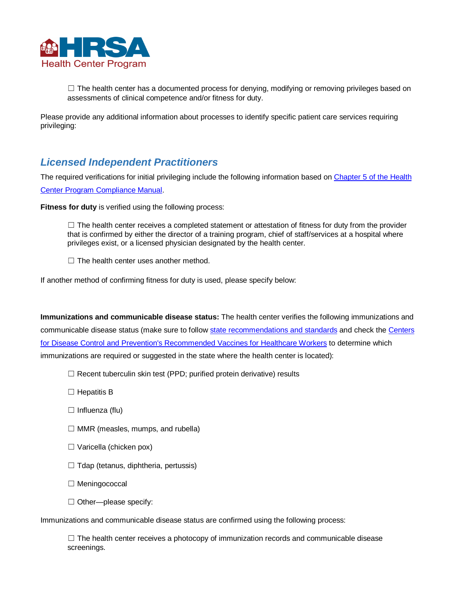

 $\Box$  The health center has a documented process for denying, modifying or removing privileges based on assessments of clinical competence and/or fitness for duty.

Please provide any additional information about processes to identify specific patient care services requiring privileging:

### *Licensed Independent Practitioners*

The required verifications for initial privileging include the following information based on Chapter 5 of the Health [Center Program Compliance Manual.](https://bphc.hrsa.gov/programrequirements/compliancemanual/chapter-5.html#titletop)

**Fitness for duty** is verified using the following process:

 $\Box$  The health center receives a completed statement or attestation of fitness for duty from the provider that is confirmed by either the director of a training program, chief of staff/services at a hospital where privileges exist, or a licensed physician designated by the health center.

 $\Box$  The health center uses another method.

If another method of confirming fitness for duty is used, please specify below:

**Immunizations and communicable disease status:** The health center verifies the following immunizations and communicable disease status (make sure to follow [state recommendations and standards](https://www.cdc.gov/phlp/publications/topic/vaccinationlaws.html) and check the [Centers](https://www.cdc.gov/vaccines/adults/rec-vac/hcw.html)  [for Disease Control and Prevention's Recommended Vaccines for Healthcare Workers](https://www.cdc.gov/vaccines/adults/rec-vac/hcw.html) to determine which immunizations are required or suggested in the state where the health center is located):

- □ Recent tuberculin skin test (PPD; purified protein derivative) results
- □ Hepatitis B
- ☐ Influenza (flu)
- □ MMR (measles, mumps, and rubella)
- ☐ Varicella (chicken pox)
- □ Tdap (tetanus, diphtheria, pertussis)
- ☐ Meningococcal
- □ Other-please specify:

Immunizations and communicable disease status are confirmed using the following process:

 $\Box$  The health center receives a photocopy of immunization records and communicable disease screenings.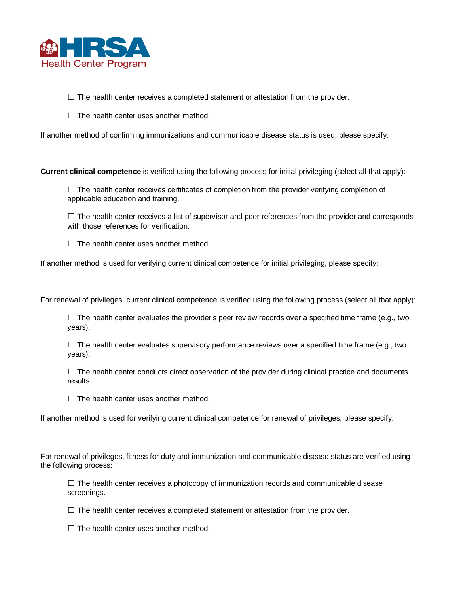

□ The health center receives a completed statement or attestation from the provider.

□ The health center uses another method.

If another method of confirming immunizations and communicable disease status is used, please specify:

**Current clinical competence** is verified using the following process for initial privileging (select all that apply):

 $\Box$  The health center receives certificates of completion from the provider verifying completion of applicable education and training.

 $\Box$  The health center receives a list of supervisor and peer references from the provider and corresponds with those references for verification.

 $\Box$  The health center uses another method.

If another method is used for verifying current clinical competence for initial privileging, please specify:

For renewal of privileges, current clinical competence is verified using the following process (select all that apply):

 $\Box$  The health center evaluates the provider's peer review records over a specified time frame (e.g., two years).

 $\Box$  The health center evaluates supervisory performance reviews over a specified time frame (e.g., two years).

 $\Box$  The health center conducts direct observation of the provider during clinical practice and documents results.

 $\Box$  The health center uses another method.

If another method is used for verifying current clinical competence for renewal of privileges, please specify:

For renewal of privileges, fitness for duty and immunization and communicable disease status are verified using the following process:

 $\Box$  The health center receives a photocopy of immunization records and communicable disease screenings.

 $\Box$  The health center receives a completed statement or attestation from the provider.

□ The health center uses another method.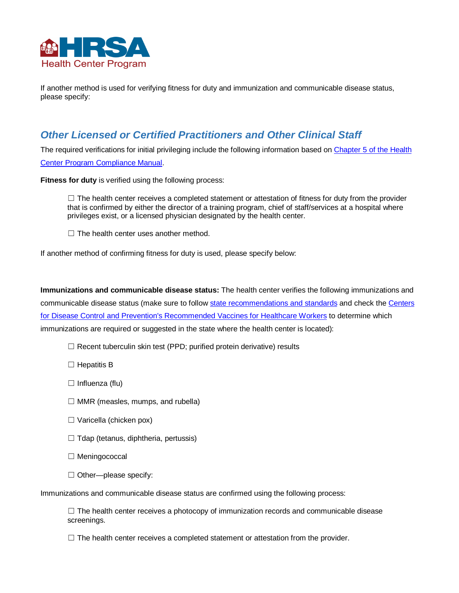

If another method is used for verifying fitness for duty and immunization and communicable disease status, please specify:

### *Other Licensed or Certified Practitioners and Other Clinical Staff*

The required verifications for initial privileging include the following information based on [Chapter 5 of the Health](https://bphc.hrsa.gov/programrequirements/compliancemanual/chapter-5.html#titletop)  [Center Program Compliance Manual.](https://bphc.hrsa.gov/programrequirements/compliancemanual/chapter-5.html#titletop)

**Fitness for duty** is verified using the following process:

 $\Box$  The health center receives a completed statement or attestation of fitness for duty from the provider that is confirmed by either the director of a training program, chief of staff/services at a hospital where privileges exist, or a licensed physician designated by the health center.

 $\Box$  The health center uses another method.

If another method of confirming fitness for duty is used, please specify below:

**Immunizations and communicable disease status:** The health center verifies the following immunizations and communicable disease status (make sure to follow [state recommendations and standards](https://www.cdc.gov/phlp/publications/topic/vaccinationlaws.html) and check the Centers [for Disease Control and Prevention's Recommended Vaccines for Healthcare Workers](https://www.cdc.gov/vaccines/adults/rec-vac/hcw.html) to determine which immunizations are required or suggested in the state where the health center is located):

□ Recent tuberculin skin test (PPD; purified protein derivative) results

□ Hepatitis B

□ Influenza (flu)

□ MMR (measles, mumps, and rubella)

- ☐ Varicella (chicken pox)
- ☐ Tdap (tetanus, diphtheria, pertussis)
- ☐ Meningococcal
- □ Other-please specify:

Immunizations and communicable disease status are confirmed using the following process:

 $\Box$  The health center receives a photocopy of immunization records and communicable disease screenings.

 $\Box$  The health center receives a completed statement or attestation from the provider.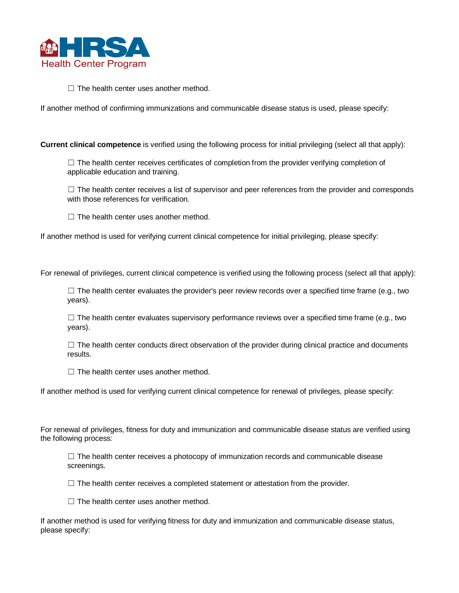

 $\Box$  The health center uses another method.

If another method of confirming immunizations and communicable disease status is used, please specify:

**Current clinical competence** is verified using the following process for initial privileging (select all that apply):

 $\Box$  The health center receives certificates of completion from the provider verifying completion of applicable education and training.

 $\Box$  The health center receives a list of supervisor and peer references from the provider and corresponds with those references for verification.

 $\Box$  The health center uses another method.

If another method is used for verifying current clinical competence for initial privileging, please specify:

For renewal of privileges, current clinical competence is verified using the following process (select all that apply):

 $\Box$  The health center evaluates the provider's peer review records over a specified time frame (e.g., two years).

 $\square$  The health center evaluates supervisory performance reviews over a specified time frame (e.g., two years).

 $\Box$  The health center conducts direct observation of the provider during clinical practice and documents results.

 $\Box$  The health center uses another method.

If another method is used for verifying current clinical competence for renewal of privileges, please specify:

For renewal of privileges, fitness for duty and immunization and communicable disease status are verified using the following process:

 $\Box$  The health center receives a photocopy of immunization records and communicable disease screenings.

□ The health center receives a completed statement or attestation from the provider.

□ The health center uses another method.

If another method is used for verifying fitness for duty and immunization and communicable disease status, please specify: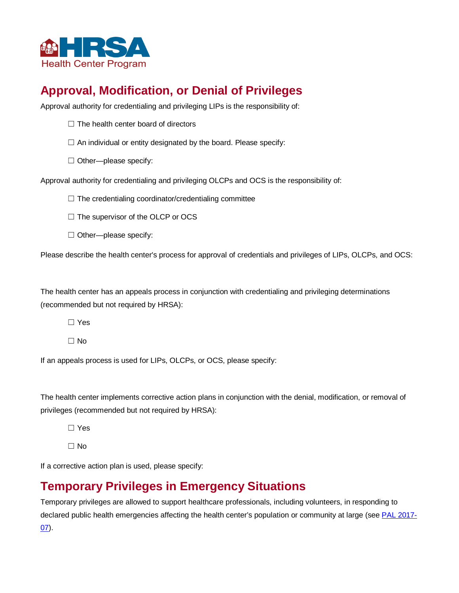

## **Approval, Modification, or Denial of Privileges**

Approval authority for credentialing and privileging LIPs is the responsibility of:

- □ The health center board of directors
- □ An individual or entity designated by the board. Please specify:
- □ Other-please specify:

Approval authority for credentialing and privileging OLCPs and OCS is the responsibility of:

☐ The credentialing coordinator/credentialing committee

□ The supervisor of the OLCP or OCS

□ Other-please specify:

Please describe the health center's process for approval of credentials and privileges of LIPs, OLCPs, and OCS:

The health center has an appeals process in conjunction with credentialing and privileging determinations (recommended but not required by HRSA):

☐ Yes

☐ No

If an appeals process is used for LIPs, OLCPs, or OCS, please specify:

The health center implements corrective action plans in conjunction with the denial, modification, or removal of privileges (recommended but not required by HRSA):

☐ Yes

☐ No

If a corrective action plan is used, please specify:

### **Temporary Privileges in Emergency Situations**

Temporary privileges are allowed to support healthcare professionals, including volunteers, in responding to declared public health emergencies affecting the health center's population or community at large (see [PAL 2017-](https://bphc.hrsa.gov/sites/default/files/bphc/ftca/pdf/pal-2017-07.pdf) [07\)](https://bphc.hrsa.gov/sites/default/files/bphc/ftca/pdf/pal-2017-07.pdf).